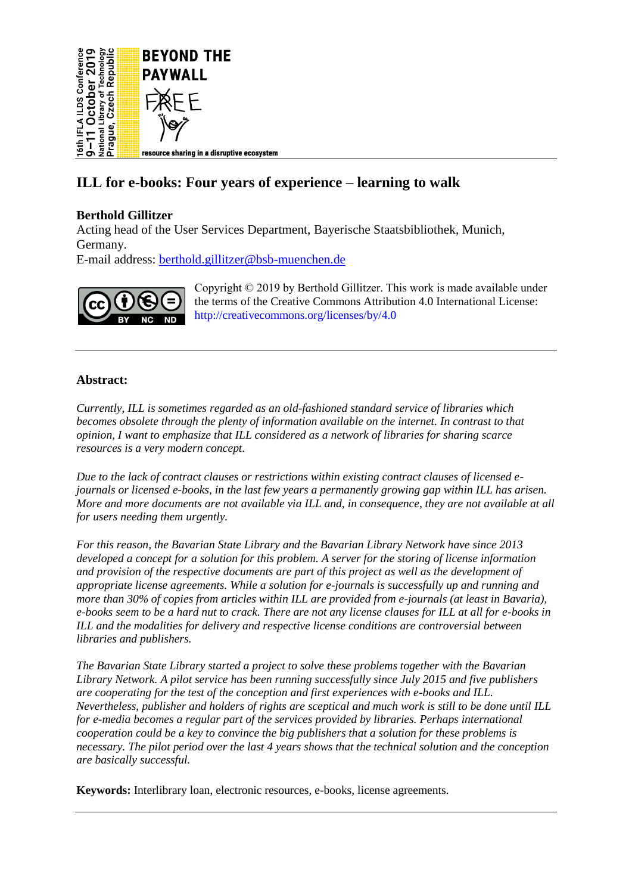

# **ILL for e-books: Four years of experience – learning to walk**

# **Berthold Gillitzer**

Acting head of the User Services Department, Bayerische Staatsbibliothek, Munich, Germany.

E-mail address: [berthold.gillitzer@bsb-muenchen.de](mailto:berthold.gillitzer@bsb-muenchen.de)



Copyright © 2019 by Berthold Gillitzer. This work is made available under the terms of the Creative Commons Attribution 4.0 International License: <http://creativecommons.org/licenses/by/4.0>

# **Abstract:**

*Currently, ILL is sometimes regarded as an old-fashioned standard service of libraries which becomes obsolete through the plenty of information available on the internet. In contrast to that opinion, I want to emphasize that ILL considered as a network of libraries for sharing scarce resources is a very modern concept.*

*Due to the lack of contract clauses or restrictions within existing contract clauses of licensed ejournals or licensed e-books, in the last few years a permanently growing gap within ILL has arisen. More and more documents are not available via ILL and, in consequence, they are not available at all for users needing them urgently.*

*For this reason, the Bavarian State Library and the Bavarian Library Network have since 2013 developed a concept for a solution for this problem. A server for the storing of license information and provision of the respective documents are part of this project as well as the development of appropriate license agreements. While a solution for e-journals is successfully up and running and more than 30% of copies from articles within ILL are provided from e-journals (at least in Bavaria), e-books seem to be a hard nut to crack. There are not any license clauses for ILL at all for e-books in ILL and the modalities for delivery and respective license conditions are controversial between libraries and publishers.*

*The Bavarian State Library started a project to solve these problems together with the Bavarian Library Network. A pilot service has been running successfully since July 2015 and five publishers are cooperating for the test of the conception and first experiences with e-books and ILL. Nevertheless, publisher and holders of rights are sceptical and much work is still to be done until ILL for e-media becomes a regular part of the services provided by libraries. Perhaps international cooperation could be a key to convince the big publishers that a solution for these problems is necessary. The pilot period over the last 4 years shows that the technical solution and the conception are basically successful.*

**Keywords:** Interlibrary loan, electronic resources, e-books, license agreements.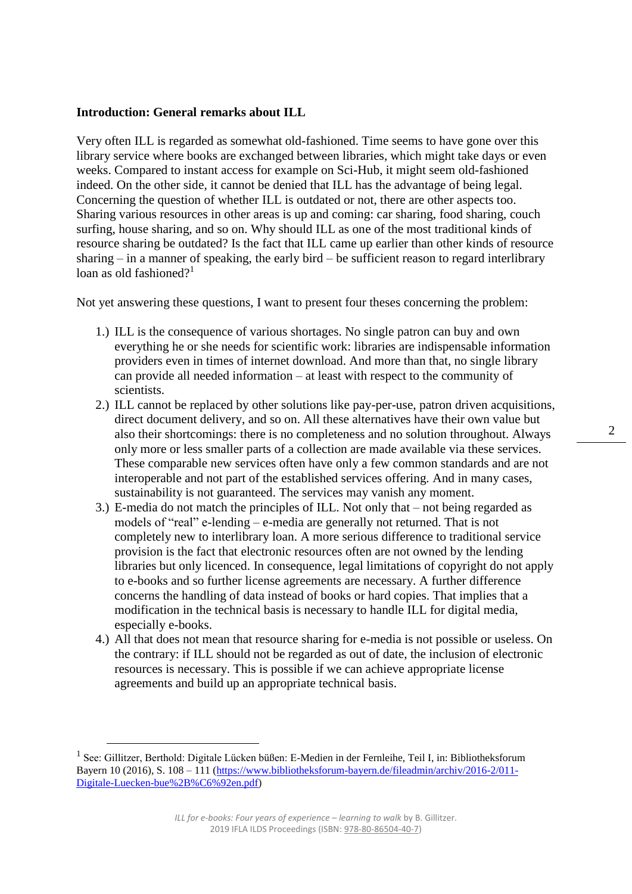# **Introduction: General remarks about ILL**

Very often ILL is regarded as somewhat old-fashioned. Time seems to have gone over this library service where books are exchanged between libraries, which might take days or even weeks. Compared to instant access for example on Sci-Hub, it might seem old-fashioned indeed. On the other side, it cannot be denied that ILL has the advantage of being legal. Concerning the question of whether ILL is outdated or not, there are other aspects too. Sharing various resources in other areas is up and coming: car sharing, food sharing, couch surfing, house sharing, and so on. Why should ILL as one of the most traditional kinds of resource sharing be outdated? Is the fact that ILL came up earlier than other kinds of resource sharing – in a manner of speaking, the early bird – be sufficient reason to regard interlibrary loan as old fashioned?<sup>1</sup>

Not yet answering these questions, I want to present four theses concerning the problem:

- 1.) ILL is the consequence of various shortages. No single patron can buy and own everything he or she needs for scientific work: libraries are indispensable information providers even in times of internet download. And more than that, no single library can provide all needed information – at least with respect to the community of scientists.
- 2.) ILL cannot be replaced by other solutions like pay-per-use, patron driven acquisitions, direct document delivery, and so on. All these alternatives have their own value but also their shortcomings: there is no completeness and no solution throughout. Always only more or less smaller parts of a collection are made available via these services. These comparable new services often have only a few common standards and are not interoperable and not part of the established services offering. And in many cases, sustainability is not guaranteed. The services may vanish any moment.
- 3.) E-media do not match the principles of ILL. Not only that not being regarded as models of "real" e-lending – e-media are generally not returned. That is not completely new to interlibrary loan. A more serious difference to traditional service provision is the fact that electronic resources often are not owned by the lending libraries but only licenced. In consequence, legal limitations of copyright do not apply to e-books and so further license agreements are necessary. A further difference concerns the handling of data instead of books or hard copies. That implies that a modification in the technical basis is necessary to handle ILL for digital media, especially e-books.
- 4.) All that does not mean that resource sharing for e-media is not possible or useless. On the contrary: if ILL should not be regarded as out of date, the inclusion of electronic resources is necessary. This is possible if we can achieve appropriate license agreements and build up an appropriate technical basis.

 $\overline{a}$ 

<sup>&</sup>lt;sup>1</sup> See: Gillitzer, Berthold: Digitale Lücken büßen: E-Medien in der Fernleihe, Teil I, in: Bibliotheksforum Bayern 10 (2016), S. 108 – 111 [\(https://www.bibliotheksforum-bayern.de/fileadmin/archiv/2016-2/011-](https://www.bibliotheksforum-bayern.de/fileadmin/archiv/2016-2/011-Digitale-Luecken-bue%2B%C6%92en.pdf) [Digitale-Luecken-bue%2B%C6%92en.pdf\)](https://www.bibliotheksforum-bayern.de/fileadmin/archiv/2016-2/011-Digitale-Luecken-bue%2B%C6%92en.pdf)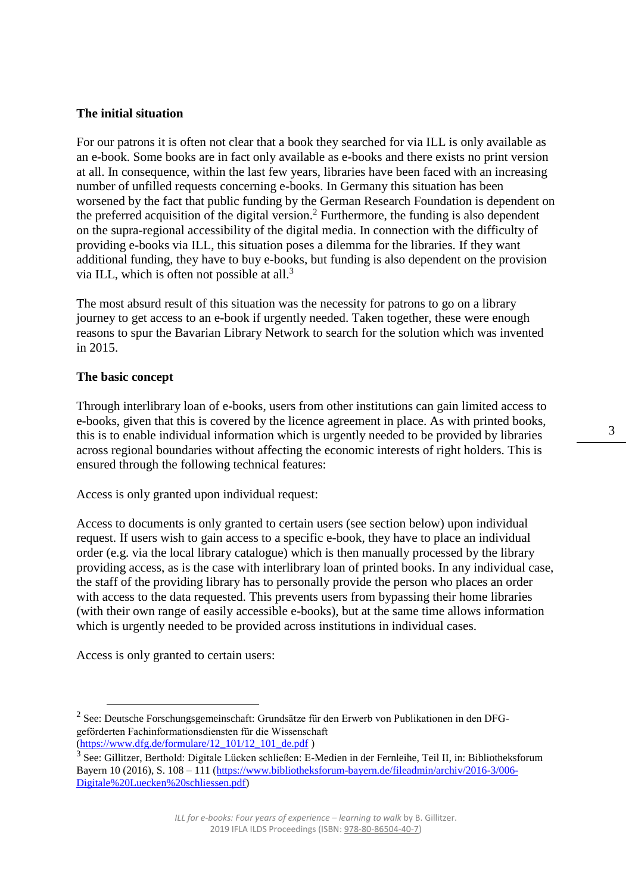# **The initial situation**

For our patrons it is often not clear that a book they searched for via ILL is only available as an e-book. Some books are in fact only available as e-books and there exists no print version at all. In consequence, within the last few years, libraries have been faced with an increasing number of unfilled requests concerning e-books. In Germany this situation has been worsened by the fact that public funding by the German Research Foundation is dependent on the preferred acquisition of the digital version.<sup>2</sup> Furthermore, the funding is also dependent on the supra-regional accessibility of the digital media. In connection with the difficulty of providing e-books via ILL, this situation poses a dilemma for the libraries. If they want additional funding, they have to buy e-books, but funding is also dependent on the provision via ILL, which is often not possible at all.<sup>3</sup>

The most absurd result of this situation was the necessity for patrons to go on a library journey to get access to an e-book if urgently needed. Taken together, these were enough reasons to spur the Bavarian Library Network to search for the solution which was invented in 2015.

# **The basic concept**

Through interlibrary loan of e-books, users from other institutions can gain limited access to e-books, given that this is covered by the licence agreement in place. As with printed books, this is to enable individual information which is urgently needed to be provided by libraries across regional boundaries without affecting the economic interests of right holders. This is ensured through the following technical features:

Access is only granted upon individual request:

Access to documents is only granted to certain users (see section below) upon individual request. If users wish to gain access to a specific e-book, they have to place an individual order (e.g. via the local library catalogue) which is then manually processed by the library providing access, as is the case with interlibrary loan of printed books. In any individual case, the staff of the providing library has to personally provide the person who places an order with access to the data requested. This prevents users from bypassing their home libraries (with their own range of easily accessible e-books), but at the same time allows information which is urgently needed to be provided across institutions in individual cases.

Access is only granted to certain users:

 $\overline{a}$ 

[\(https://www.dfg.de/formulare/12\\_101/12\\_101\\_de.pdf](https://www.dfg.de/formulare/12_101/12_101_de.pdf) )

 $2$  See: Deutsche Forschungsgemeinschaft: Grundsätze für den Erwerb von Publikationen in den DFGgeförderten Fachinformationsdiensten für die Wissenschaft

<sup>&</sup>lt;sup>3</sup> See: Gillitzer, Berthold: Digitale Lücken schließen: E-Medien in der Fernleihe, Teil II, in: Bibliotheksforum Bayern 10 (2016), S. 108 – 111 [\(https://www.bibliotheksforum-bayern.de/fileadmin/archiv/2016-3/006-](https://www.bibliotheksforum-bayern.de/fileadmin/archiv/2016-3/006-Digitale%20Luecken%20schliessen.pdf) [Digitale%20Luecken%20schliessen.pdf\)](https://www.bibliotheksforum-bayern.de/fileadmin/archiv/2016-3/006-Digitale%20Luecken%20schliessen.pdf)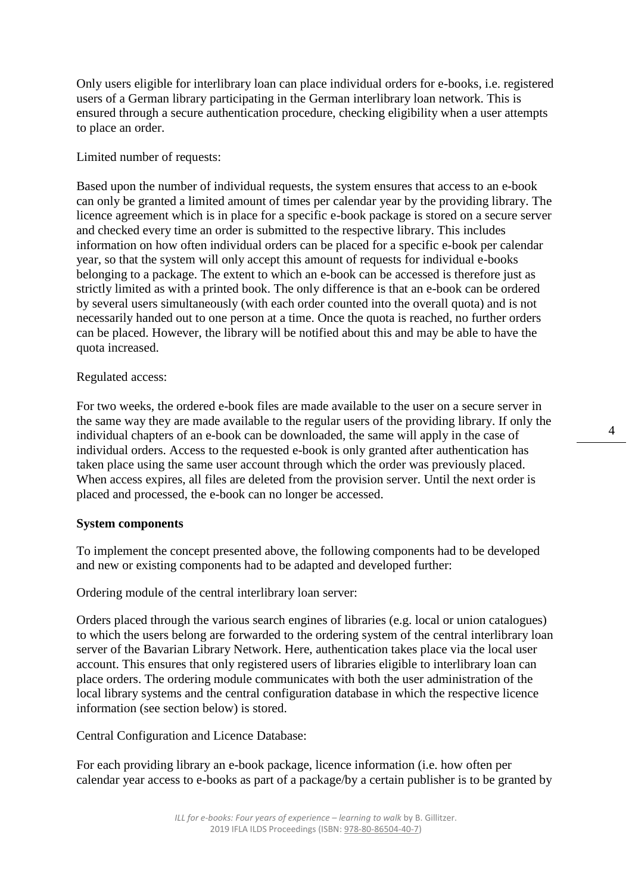Only users eligible for interlibrary loan can place individual orders for e-books, i.e. registered users of a German library participating in the German interlibrary loan network. This is ensured through a secure authentication procedure, checking eligibility when a user attempts to place an order.

# Limited number of requests:

Based upon the number of individual requests, the system ensures that access to an e-book can only be granted a limited amount of times per calendar year by the providing library. The licence agreement which is in place for a specific e-book package is stored on a secure server and checked every time an order is submitted to the respective library. This includes information on how often individual orders can be placed for a specific e-book per calendar year, so that the system will only accept this amount of requests for individual e-books belonging to a package. The extent to which an e-book can be accessed is therefore just as strictly limited as with a printed book. The only difference is that an e-book can be ordered by several users simultaneously (with each order counted into the overall quota) and is not necessarily handed out to one person at a time. Once the quota is reached, no further orders can be placed. However, the library will be notified about this and may be able to have the quota increased.

#### Regulated access:

For two weeks, the ordered e-book files are made available to the user on a secure server in the same way they are made available to the regular users of the providing library. If only the individual chapters of an e-book can be downloaded, the same will apply in the case of individual orders. Access to the requested e-book is only granted after authentication has taken place using the same user account through which the order was previously placed. When access expires, all files are deleted from the provision server. Until the next order is placed and processed, the e-book can no longer be accessed.

#### **System components**

To implement the concept presented above, the following components had to be developed and new or existing components had to be adapted and developed further:

Ordering module of the central interlibrary loan server:

Orders placed through the various search engines of libraries (e.g. local or union catalogues) to which the users belong are forwarded to the ordering system of the central interlibrary loan server of the Bavarian Library Network. Here, authentication takes place via the local user account. This ensures that only registered users of libraries eligible to interlibrary loan can place orders. The ordering module communicates with both the user administration of the local library systems and the central configuration database in which the respective licence information (see section below) is stored.

Central Configuration and Licence Database:

For each providing library an e-book package, licence information (i.e. how often per calendar year access to e-books as part of a package/by a certain publisher is to be granted by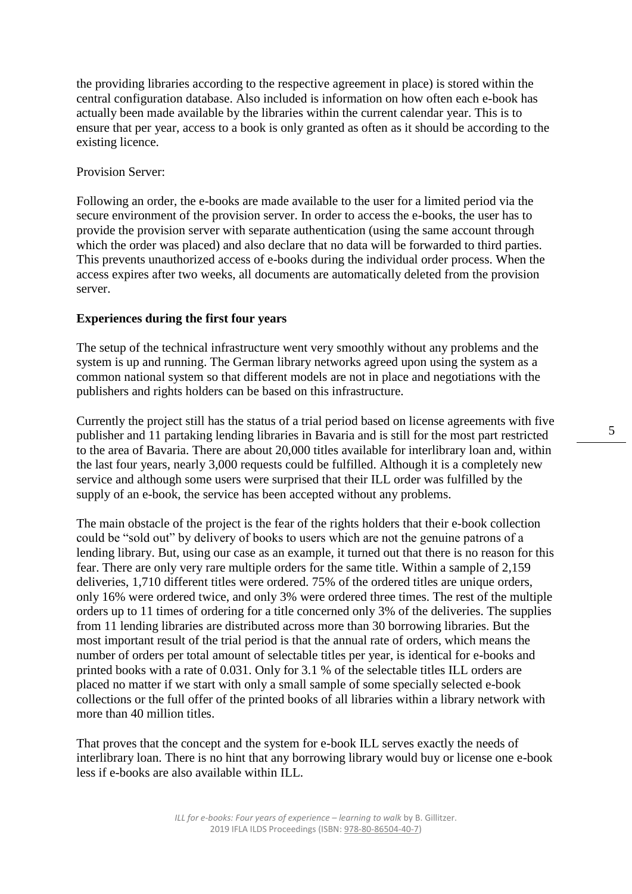the providing libraries according to the respective agreement in place) is stored within the central configuration database. Also included is information on how often each e-book has actually been made available by the libraries within the current calendar year. This is to ensure that per year, access to a book is only granted as often as it should be according to the existing licence.

# Provision Server:

Following an order, the e-books are made available to the user for a limited period via the secure environment of the provision server. In order to access the e-books, the user has to provide the provision server with separate authentication (using the same account through which the order was placed) and also declare that no data will be forwarded to third parties. This prevents unauthorized access of e-books during the individual order process. When the access expires after two weeks, all documents are automatically deleted from the provision server.

# **Experiences during the first four years**

The setup of the technical infrastructure went very smoothly without any problems and the system is up and running. The German library networks agreed upon using the system as a common national system so that different models are not in place and negotiations with the publishers and rights holders can be based on this infrastructure.

Currently the project still has the status of a trial period based on license agreements with five publisher and 11 partaking lending libraries in Bavaria and is still for the most part restricted to the area of Bavaria. There are about 20,000 titles available for interlibrary loan and, within the last four years, nearly 3,000 requests could be fulfilled. Although it is a completely new service and although some users were surprised that their ILL order was fulfilled by the supply of an e-book, the service has been accepted without any problems.

The main obstacle of the project is the fear of the rights holders that their e-book collection could be "sold out" by delivery of books to users which are not the genuine patrons of a lending library. But, using our case as an example, it turned out that there is no reason for this fear. There are only very rare multiple orders for the same title. Within a sample of 2,159 deliveries, 1,710 different titles were ordered. 75% of the ordered titles are unique orders, only 16% were ordered twice, and only 3% were ordered three times. The rest of the multiple orders up to 11 times of ordering for a title concerned only 3% of the deliveries. The supplies from 11 lending libraries are distributed across more than 30 borrowing libraries. But the most important result of the trial period is that the annual rate of orders, which means the number of orders per total amount of selectable titles per year, is identical for e-books and printed books with a rate of 0.031. Only for 3.1 % of the selectable titles ILL orders are placed no matter if we start with only a small sample of some specially selected e-book collections or the full offer of the printed books of all libraries within a library network with more than 40 million titles.

That proves that the concept and the system for e-book ILL serves exactly the needs of interlibrary loan. There is no hint that any borrowing library would buy or license one e-book less if e-books are also available within ILL.